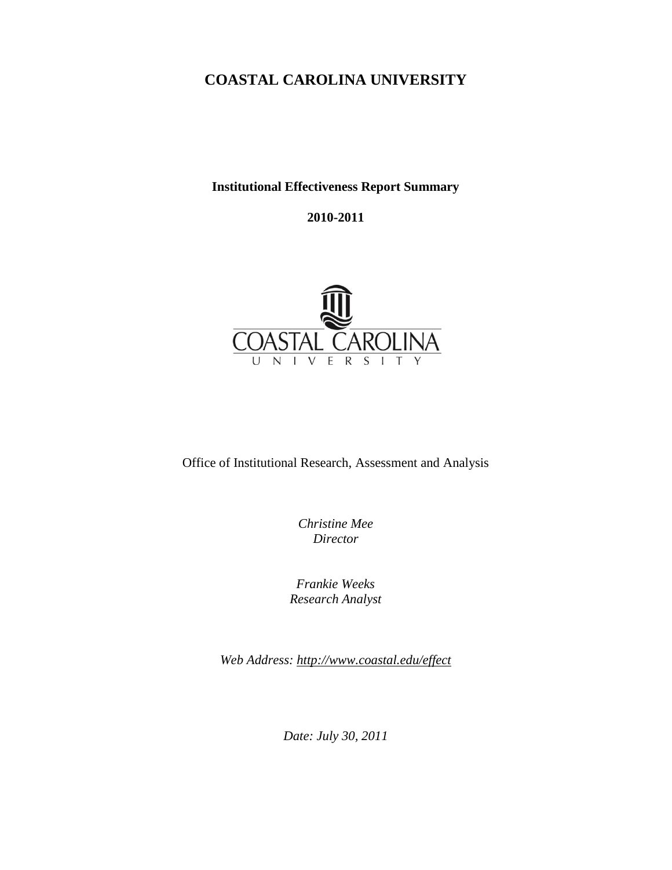# **COASTAL CAROLINA UNIVERSITY**

## **Institutional Effectiveness Report Summary**

## **2010-2011**



Office of Institutional Research, Assessment and Analysis

*Christine Mee Director*

*Frankie Weeks Research Analyst*

*Web Address:<http://www.coastal.edu/effect>*

*Date: July 30, 2011*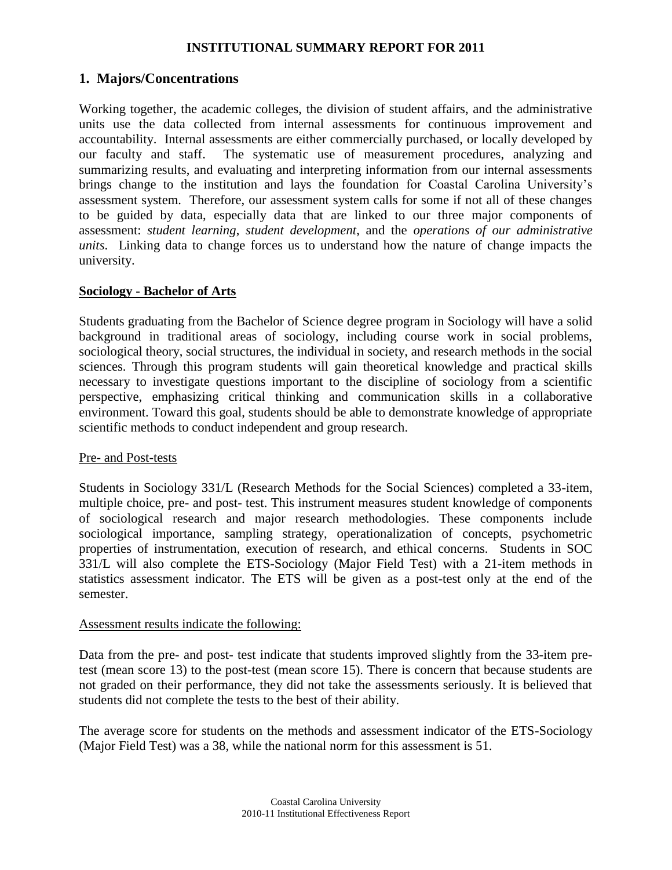# **1. Majors/Concentrations**

Working together, the academic colleges, the division of student affairs, and the administrative units use the data collected from internal assessments for continuous improvement and accountability. Internal assessments are either commercially purchased, or locally developed by our faculty and staff. The systematic use of measurement procedures, analyzing and summarizing results, and evaluating and interpreting information from our internal assessments brings change to the institution and lays the foundation for Coastal Carolina University's assessment system. Therefore, our assessment system calls for some if not all of these changes to be guided by data, especially data that are linked to our three major components of assessment: *student learning*, *student development*, and the *operations of our administrative units*. Linking data to change forces us to understand how the nature of change impacts the university.

### **Sociology - Bachelor of Arts**

Students graduating from the Bachelor of Science degree program in Sociology will have a solid background in traditional areas of sociology, including course work in social problems, sociological theory, social structures, the individual in society, and research methods in the social sciences. Through this program students will gain theoretical knowledge and practical skills necessary to investigate questions important to the discipline of sociology from a scientific perspective, emphasizing critical thinking and communication skills in a collaborative environment. Toward this goal, students should be able to demonstrate knowledge of appropriate scientific methods to conduct independent and group research.

#### Pre- and Post-tests

Students in Sociology 331/L (Research Methods for the Social Sciences) completed a 33-item, multiple choice, pre- and post- test. This instrument measures student knowledge of components of sociological research and major research methodologies. These components include sociological importance, sampling strategy, operationalization of concepts, psychometric properties of instrumentation, execution of research, and ethical concerns. Students in SOC 331/L will also complete the ETS-Sociology (Major Field Test) with a 21-item methods in statistics assessment indicator. The ETS will be given as a post-test only at the end of the semester.

#### Assessment results indicate the following:

Data from the pre- and post- test indicate that students improved slightly from the 33-item pretest (mean score 13) to the post-test (mean score 15). There is concern that because students are not graded on their performance, they did not take the assessments seriously. It is believed that students did not complete the tests to the best of their ability.

The average score for students on the methods and assessment indicator of the ETS-Sociology (Major Field Test) was a 38, while the national norm for this assessment is 51.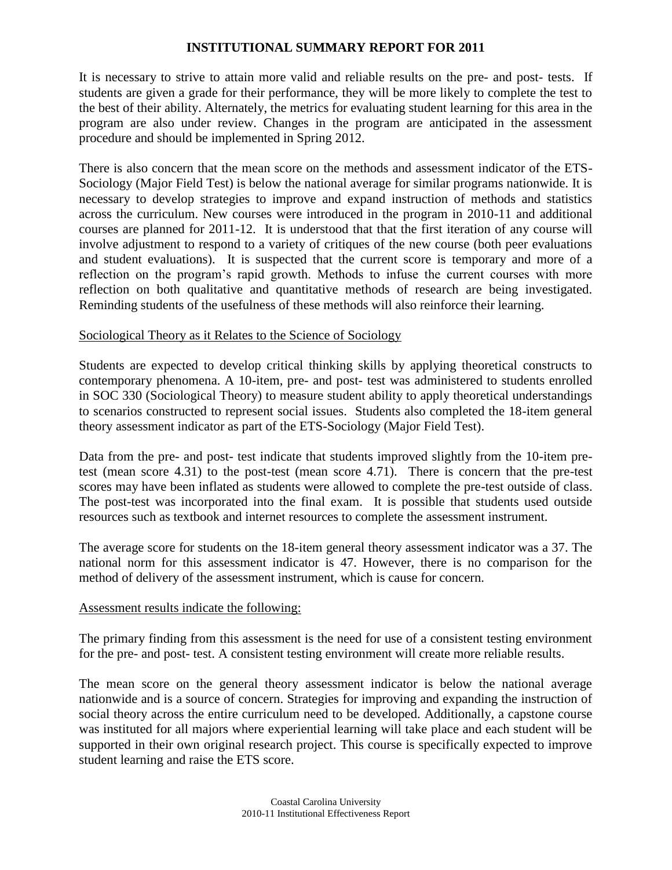It is necessary to strive to attain more valid and reliable results on the pre- and post- tests. If students are given a grade for their performance, they will be more likely to complete the test to the best of their ability. Alternately, the metrics for evaluating student learning for this area in the program are also under review. Changes in the program are anticipated in the assessment procedure and should be implemented in Spring 2012.

There is also concern that the mean score on the methods and assessment indicator of the ETS-Sociology (Major Field Test) is below the national average for similar programs nationwide. It is necessary to develop strategies to improve and expand instruction of methods and statistics across the curriculum. New courses were introduced in the program in 2010-11 and additional courses are planned for 2011-12. It is understood that that the first iteration of any course will involve adjustment to respond to a variety of critiques of the new course (both peer evaluations and student evaluations). It is suspected that the current score is temporary and more of a reflection on the program's rapid growth. Methods to infuse the current courses with more reflection on both qualitative and quantitative methods of research are being investigated. Reminding students of the usefulness of these methods will also reinforce their learning.

## Sociological Theory as it Relates to the Science of Sociology

Students are expected to develop critical thinking skills by applying theoretical constructs to contemporary phenomena. A 10-item, pre- and post- test was administered to students enrolled in SOC 330 (Sociological Theory) to measure student ability to apply theoretical understandings to scenarios constructed to represent social issues. Students also completed the 18-item general theory assessment indicator as part of the ETS-Sociology (Major Field Test).

Data from the pre- and post- test indicate that students improved slightly from the 10-item pretest (mean score 4.31) to the post-test (mean score 4.71). There is concern that the pre-test scores may have been inflated as students were allowed to complete the pre-test outside of class. The post-test was incorporated into the final exam. It is possible that students used outside resources such as textbook and internet resources to complete the assessment instrument.

The average score for students on the 18-item general theory assessment indicator was a 37. The national norm for this assessment indicator is 47. However, there is no comparison for the method of delivery of the assessment instrument, which is cause for concern.

#### Assessment results indicate the following:

The primary finding from this assessment is the need for use of a consistent testing environment for the pre- and post- test. A consistent testing environment will create more reliable results.

The mean score on the general theory assessment indicator is below the national average nationwide and is a source of concern. Strategies for improving and expanding the instruction of social theory across the entire curriculum need to be developed. Additionally, a capstone course was instituted for all majors where experiential learning will take place and each student will be supported in their own original research project. This course is specifically expected to improve student learning and raise the ETS score.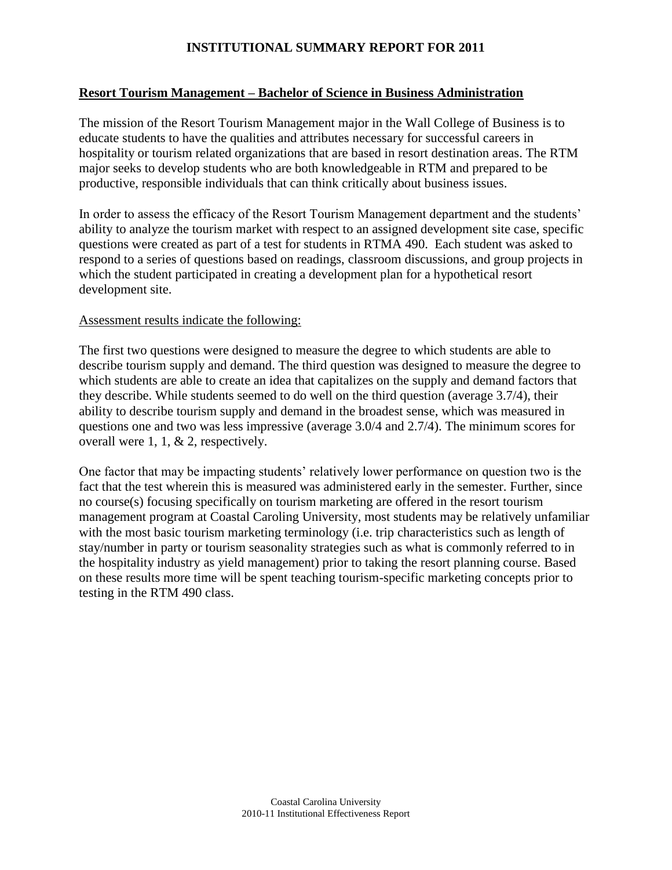## **Resort Tourism Management – Bachelor of Science in Business Administration**

The mission of the Resort Tourism Management major in the Wall College of Business is to educate students to have the qualities and attributes necessary for successful careers in hospitality or tourism related organizations that are based in resort destination areas. The RTM major seeks to develop students who are both knowledgeable in RTM and prepared to be productive, responsible individuals that can think critically about business issues.

In order to assess the efficacy of the Resort Tourism Management department and the students' ability to analyze the tourism market with respect to an assigned development site case, specific questions were created as part of a test for students in RTMA 490. Each student was asked to respond to a series of questions based on readings, classroom discussions, and group projects in which the student participated in creating a development plan for a hypothetical resort development site.

## Assessment results indicate the following:

The first two questions were designed to measure the degree to which students are able to describe tourism supply and demand. The third question was designed to measure the degree to which students are able to create an idea that capitalizes on the supply and demand factors that they describe. While students seemed to do well on the third question (average 3.7/4), their ability to describe tourism supply and demand in the broadest sense, which was measured in questions one and two was less impressive (average 3.0/4 and 2.7/4). The minimum scores for overall were 1, 1, & 2, respectively.

One factor that may be impacting students' relatively lower performance on question two is the fact that the test wherein this is measured was administered early in the semester. Further, since no course(s) focusing specifically on tourism marketing are offered in the resort tourism management program at Coastal Caroling University, most students may be relatively unfamiliar with the most basic tourism marketing terminology (i.e. trip characteristics such as length of stay/number in party or tourism seasonality strategies such as what is commonly referred to in the hospitality industry as yield management) prior to taking the resort planning course. Based on these results more time will be spent teaching tourism-specific marketing concepts prior to testing in the RTM 490 class.